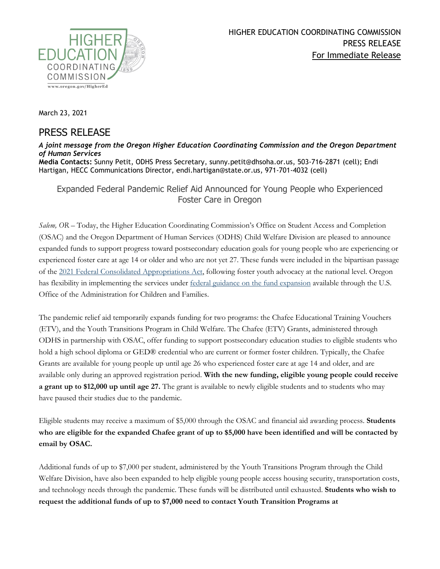

March 23, 2021

## PRESS RELEASE

## *A joint message from the Oregon Higher Education Coordinating Commission and the Oregon Department of Human Services* **Media Contacts:** Sunny Petit, ODHS Press Secretary, sunny.petit@dhsoha.or.us, 503-716-2871 (cell); Endi Hartigan, HECC Communications Director, endi.hartigan@state.or.us, 971-701-4032 (cell)

Expanded Federal Pandemic Relief Aid Announced for Young People who Experienced Foster Care in Oregon

*Salem, OR –* Today, the Higher Education Coordinating Commission's Office on Student Access and Completion (OSAC) and the Oregon Department of Human Services (ODHS) Child Welfare Division are pleased to announce expanded funds to support progress toward postsecondary education goals for young people who are experiencing or experienced foster care at age 14 or older and who are not yet 27. These funds were included in the bipartisan passage of the [2021 Federal Consolidated Appropriations Act,](https://rules.house.gov/sites/democrats.rules.house.gov/files/BILLS-116HR133SA-RCP-116-68.pdf) following foster youth advocacy at the national level. Oregon has flexibility in implementing the services under [federal guidance on the fund expansion](https://www.acf.hhs.gov/cb/policy-guidance/pi-21-04) available through the U.S. Office of the Administration for Children and Families.

The pandemic relief aid temporarily expands funding for two programs: the Chafee Educational Training Vouchers (ETV), and the Youth Transitions Program in Child Welfare. The Chafee (ETV) Grants, administered through ODHS in partnership with OSAC, offer funding to support postsecondary education studies to eligible students who hold a high school diploma or GED® credential who are current or former foster children. Typically, the Chafee Grants are available for young people up until age 26 who experienced foster care at age 14 and older, and are available only during an approved registration period. **With the new funding, eligible young people could receive a grant up to \$12,000 up until age 27.** The grant is available to newly eligible students and to students who may have paused their studies due to the pandemic.

Eligible students may receive a maximum of \$5,000 through the OSAC and financial aid awarding process. **Students who are eligible for the expanded Chafee grant of up to \$5,000 have been identified and will be contacted by email by OSAC.**

Additional funds of up to \$7,000 per student, administered by the Youth Transitions Program through the Child Welfare Division, have also been expanded to help eligible young people access housing security, transportation costs, and technology needs through the pandemic. These funds will be distributed until exhausted. **Students who wish to request the additional funds of up to \$7,000 need to contact Youth Transition Programs at**